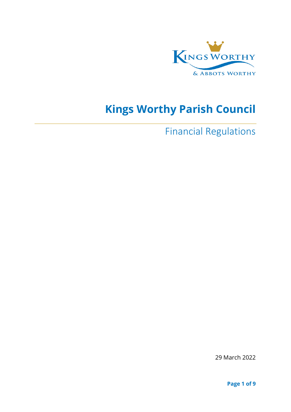

# **Kings Worthy Parish Council**

Financial Regulations

29 March 2022

**Page 1 of 9**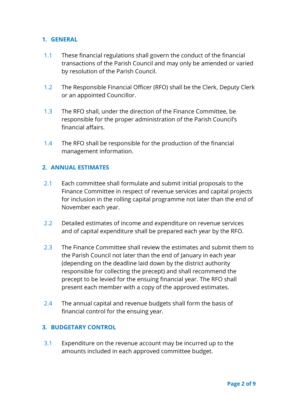#### **1. GENERAL**

- 1.1 These financial regulations shall govern the conduct of the financial transactions of the Parish Council and may only be amended or varied by resolution of the Parish Council.
- 1.2 The Responsible Financial Officer (RFO) shall be the Clerk, Deputy Clerk or an appointed Councillor.
- 1.3 The RFO shall, under the direction of the Finance Committee, be responsible for the proper administration of the Parish Council's financial affairs.
- 1.4 The RFO shall be responsible for the production of the financial management information.

## **2. ANNUAL ESTIMATES**

- 2.1 Each committee shall formulate and submit initial proposals to the Finance Committee in respect of revenue services and capital projects for inclusion in the rolling capital programme not later than the end of November each year.
- 2.2 Detailed estimates of income and expenditure on revenue services and of capital expenditure shall be prepared each year by the RFO.
- 2.3 The Finance Committee shall review the estimates and submit them to the Parish Council not later than the end of January in each year (depending on the deadline laid down by the district authority responsible for collecting the precept) and shall recommend the precept to be levied for the ensuing financial year. The RFO shall present each member with a copy of the approved estimates.
- 2.4 The annual capital and revenue budgets shall form the basis of financial control for the ensuing year.

#### **3. BUDGETARY CONTROL**

3.1 Expenditure on the revenue account may be incurred up to the amounts included in each approved committee budget.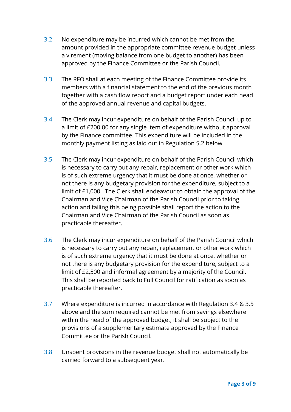- 3.2 No expenditure may be incurred which cannot be met from the amount provided in the appropriate committee revenue budget unless a virement (moving balance from one budget to another) has been approved by the Finance Committee or the Parish Council.
- 3.3 The RFO shall at each meeting of the Finance Committee provide its members with a financial statement to the end of the previous month together with a cash flow report and a budget report under each head of the approved annual revenue and capital budgets.
- 3.4 The Clerk may incur expenditure on behalf of the Parish Council up to a limit of £200.00 for any single item of expenditure without approval by the Finance committee. This expenditure will be included in the monthly payment listing as laid out in Regulation 5.2 below.
- 3.5 The Clerk may incur expenditure on behalf of the Parish Council which is necessary to carry out any repair, replacement or other work which is of such extreme urgency that it must be done at once, whether or not there is any budgetary provision for the expenditure, subject to a limit of £1,000. The Clerk shall endeavour to obtain the approval of the Chairman and Vice Chairman of the Parish Council prior to taking action and failing this being possible shall report the action to the Chairman and Vice Chairman of the Parish Council as soon as practicable thereafter.
- 3.6 The Clerk may incur expenditure on behalf of the Parish Council which is necessary to carry out any repair, replacement or other work which is of such extreme urgency that it must be done at once, whether or not there is any budgetary provision for the expenditure, subject to a limit of £2,500 and informal agreement by a majority of the Council. This shall be reported back to Full Council for ratification as soon as practicable thereafter.
- 3.7 Where expenditure is incurred in accordance with Regulation 3.4 & 3.5 above and the sum required cannot be met from savings elsewhere within the head of the approved budget, it shall be subject to the provisions of a supplementary estimate approved by the Finance Committee or the Parish Council.
- 3.8 Unspent provisions in the revenue budget shall not automatically be carried forward to a subsequent year.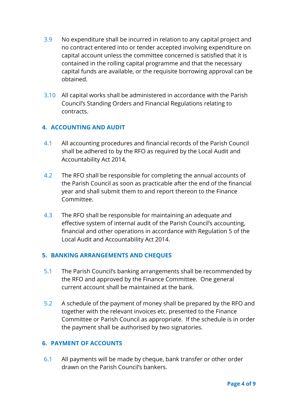- 3.9 No expenditure shall be incurred in relation to any capital project and no contract entered into or tender accepted involving expenditure on capital account unless the committee concerned is satisfied that it is contained in the rolling capital programme and that the necessary capital funds are available, or the requisite borrowing approval can be obtained.
- 3.10 All capital works shall be administered in accordance with the Parish Council's Standing Orders and Financial Regulations relating to contracts.

# **4. ACCOUNTING AND AUDIT**

- 4.1 All accounting procedures and financial records of the Parish Council shall be adhered to by the RFO as required by the Local Audit and Accountability Act 2014.
- 4.2 The RFO shall be responsible for completing the annual accounts of the Parish Council as soon as practicable after the end of the financial year and shall submit them to and report thereon to the Finance Committee.
- 4.3 The RFO shall be responsible for maintaining an adequate and effective system of internal audit of the Parish Council's accounting, financial and other operations in accordance with Regulation 5 of the Local Audit and Accountability Act 2014.

#### **5. BANKING ARRANGEMENTS AND CHEQUES**

- 5.1 The Parish Council's banking arrangements shall be recommended by the RFO and approved by the Finance Committee. One general current account shall be maintained at the bank.
- 5.2 A schedule of the payment of money shall be prepared by the RFO and together with the relevant invoices etc. presented to the Finance Committee or Parish Council as appropriate. If the schedule is in order the payment shall be authorised by two signatories.

#### **6. PAYMENT OF ACCOUNTS**

6.1 All payments will be made by cheque, bank transfer or other order drawn on the Parish Council's bankers.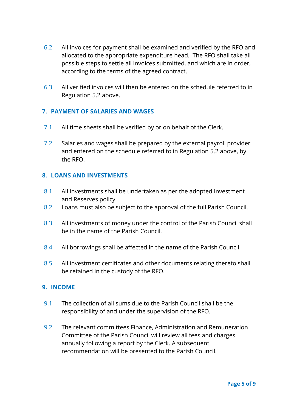- 6.2 All invoices for payment shall be examined and verified by the RFO and allocated to the appropriate expenditure head. The RFO shall take all possible steps to settle all invoices submitted, and which are in order, according to the terms of the agreed contract.
- 6.3 All verified invoices will then be entered on the schedule referred to in Regulation 5.2 above.

#### **7. PAYMENT OF SALARIES AND WAGES**

- 7.1 All time sheets shall be verified by or on behalf of the Clerk.
- 7.2 Salaries and wages shall be prepared by the external payroll provider and entered on the schedule referred to in Regulation 5.2 above, by the RFO.

#### **8. LOANS AND INVESTMENTS**

- 8.1 All investments shall be undertaken as per the adopted Investment and Reserves policy.
- 8.2 Loans must also be subject to the approval of the full Parish Council.
- 8.3 All investments of money under the control of the Parish Council shall be in the name of the Parish Council.
- 8.4 All borrowings shall be affected in the name of the Parish Council.
- 8.5 All investment certificates and other documents relating thereto shall be retained in the custody of the RFO.

#### **9. INCOME**

- 9.1 The collection of all sums due to the Parish Council shall be the responsibility of and under the supervision of the RFO.
- 9.2 The relevant committees Finance, Administration and Remuneration Committee of the Parish Council will review all fees and charges annually following a report by the Clerk. A subsequent recommendation will be presented to the Parish Council.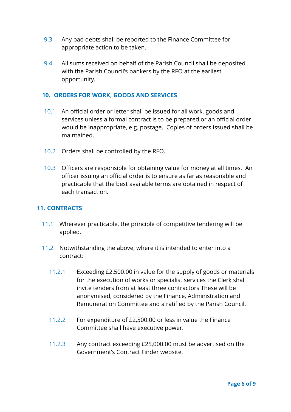- 9.3 Any bad debts shall be reported to the Finance Committee for appropriate action to be taken.
- 9.4 All sums received on behalf of the Parish Council shall be deposited with the Parish Council's bankers by the RFO at the earliest opportunity.

#### **10. ORDERS FOR WORK, GOODS AND SERVICES**

- 10.1 An official order or letter shall be issued for all work, goods and services unless a formal contract is to be prepared or an official order would be inappropriate, e.g. postage. Copies of orders issued shall be maintained.
- 10.2 Orders shall be controlled by the RFO.
- 10.3 Officers are responsible for obtaining value for money at all times. An officer issuing an official order is to ensure as far as reasonable and practicable that the best available terms are obtained in respect of each transaction.

#### **11. CONTRACTS**

- 11.1 Wherever practicable, the principle of competitive tendering will be applied.
- 11.2 Notwithstanding the above, where it is intended to enter into a contract:
	- 11.2.1 Exceeding £2,500.00 in value for the supply of goods or materials for the execution of works or specialist services the Clerk shall invite tenders from at least three contractors These will be anonymised, considered by the Finance, Administration and Remuneration Committee and a ratified by the Parish Council.
	- 11.2.2 For expenditure of £2,500.00 or less in value the Finance Committee shall have executive power.
	- 11.2.3 Any contract exceeding £25,000.00 must be advertised on the Government's Contract Finder website.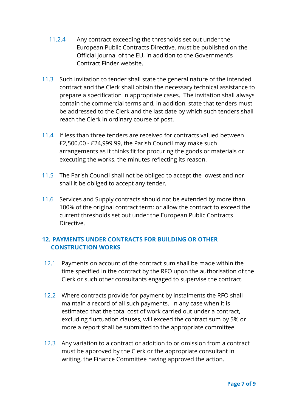- 11.2.4 Any contract exceeding the thresholds set out under the European Public Contracts Directive, must be published on the Official Journal of the EU, in addition to the Government's Contract Finder website.
- 11.3 Such invitation to tender shall state the general nature of the intended contract and the Clerk shall obtain the necessary technical assistance to prepare a specification in appropriate cases. The invitation shall always contain the commercial terms and, in addition, state that tenders must be addressed to the Clerk and the last date by which such tenders shall reach the Clerk in ordinary course of post.
- 11.4 If less than three tenders are received for contracts valued between £2,500.00 - £24,999.99, the Parish Council may make such arrangements as it thinks fit for procuring the goods or materials or executing the works, the minutes reflecting its reason.
- 11.5 The Parish Council shall not be obliged to accept the lowest and nor shall it be obliged to accept any tender.
- 11.6 Services and Supply contracts should not be extended by more than 100% of the original contract term; or allow the contract to exceed the current thresholds set out under the European Public Contracts Directive.

# **12. PAYMENTS UNDER CONTRACTS FOR BUILDING OR OTHER CONSTRUCTION WORKS**

- 12.1 Payments on account of the contract sum shall be made within the time specified in the contract by the RFO upon the authorisation of the Clerk or such other consultants engaged to supervise the contract.
- 12.2 Where contracts provide for payment by instalments the RFO shall maintain a record of all such payments. In any case when it is estimated that the total cost of work carried out under a contract, excluding fluctuation clauses, will exceed the contract sum by 5% or more a report shall be submitted to the appropriate committee.
- 12.3 Any variation to a contract or addition to or omission from a contract must be approved by the Clerk or the appropriate consultant in writing, the Finance Committee having approved the action.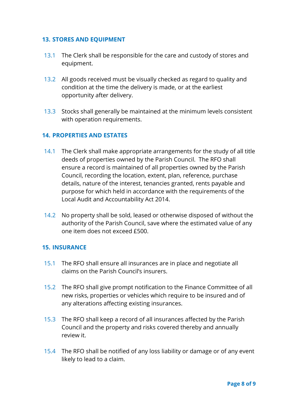### **13. STORES AND EQUIPMENT**

- 13.1 The Clerk shall be responsible for the care and custody of stores and equipment.
- 13.2 All goods received must be visually checked as regard to quality and condition at the time the delivery is made, or at the earliest opportunity after delivery.
- 13.3 Stocks shall generally be maintained at the minimum levels consistent with operation requirements.

## **14. PROPERTIES AND ESTATES**

- 14.1 The Clerk shall make appropriate arrangements for the study of all title deeds of properties owned by the Parish Council. The RFO shall ensure a record is maintained of all properties owned by the Parish Council, recording the location, extent, plan, reference, purchase details, nature of the interest, tenancies granted, rents payable and purpose for which held in accordance with the requirements of the Local Audit and Accountability Act 2014.
- 14.2 No property shall be sold, leased or otherwise disposed of without the authority of the Parish Council, save where the estimated value of any one item does not exceed £500.

#### **15. INSURANCE**

- 15.1 The RFO shall ensure all insurances are in place and negotiate all claims on the Parish Council's insurers.
- 15.2 The RFO shall give prompt notification to the Finance Committee of all new risks, properties or vehicles which require to be insured and of any alterations affecting existing insurances.
- 15.3 The RFO shall keep a record of all insurances affected by the Parish Council and the property and risks covered thereby and annually review it.
- 15.4 The RFO shall be notified of any loss liability or damage or of any event likely to lead to a claim.